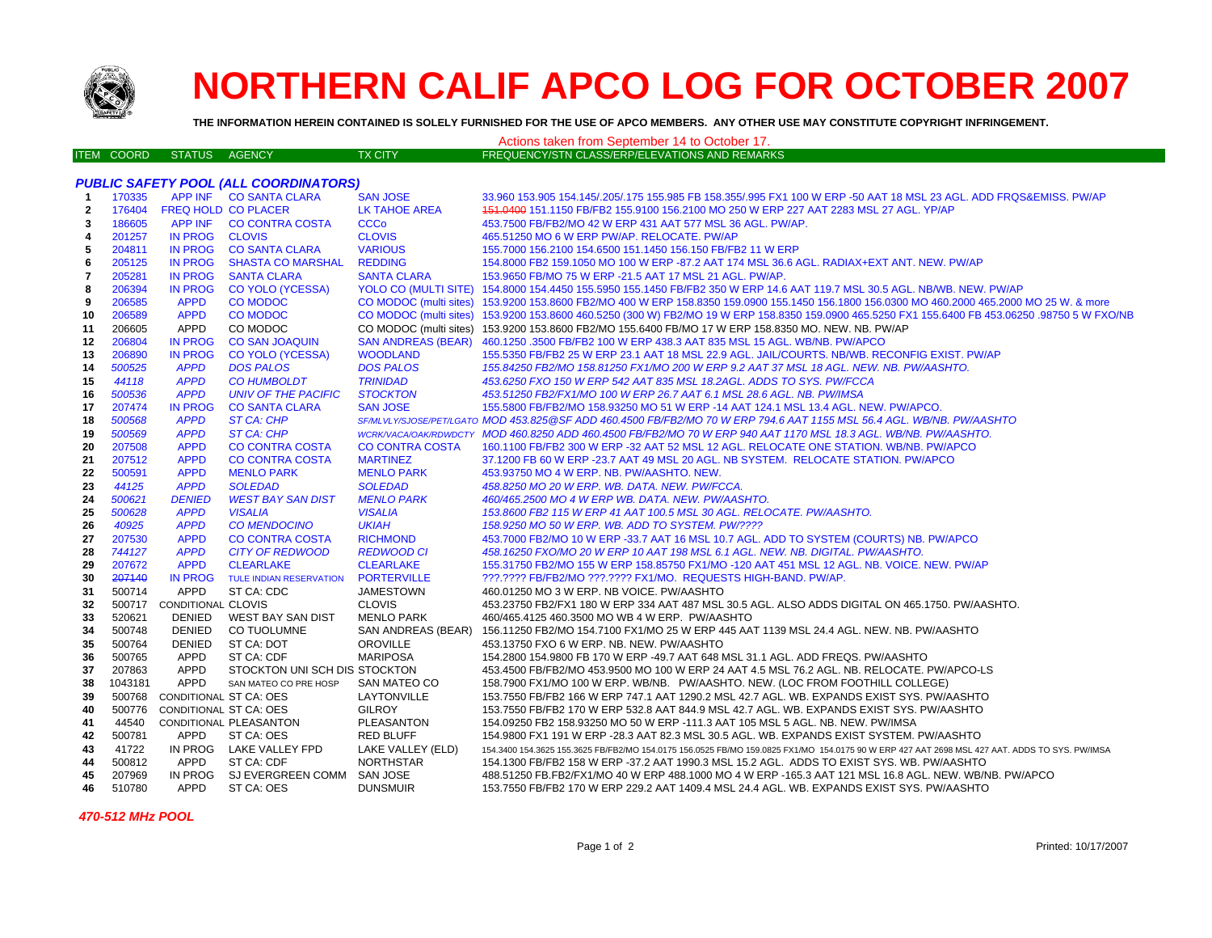

## **NORTHERN CALIF APCO LOG FOR OCTOBER 2007**

**THE INFORMATION HEREIN CONTAINED IS SOLELY FURNISHED FOR THE USE OF APCO MEMBERS. ANY OTHER USE MAY CONSTITUTE COPYRIGHT INFRINGEMENT.**

| Actions taken from September 14 to October 17. |                   |                              |                                            |                                     |                                                                                                                                                  |  |  |  |  |  |
|------------------------------------------------|-------------------|------------------------------|--------------------------------------------|-------------------------------------|--------------------------------------------------------------------------------------------------------------------------------------------------|--|--|--|--|--|
|                                                | <b>ITEM COORD</b> | <b>STATUS</b>                | <b>AGENCY</b>                              | <b>TX CITY</b>                      | FREQUENCY/STN CLASS/ERP/ELEVATIONS AND REMARKS                                                                                                   |  |  |  |  |  |
|                                                |                   |                              |                                            |                                     |                                                                                                                                                  |  |  |  |  |  |
| <b>PUBLIC SAFETY POOL (ALL COORDINATORS)</b>   |                   |                              |                                            |                                     |                                                                                                                                                  |  |  |  |  |  |
| -1                                             | 170335            |                              | APP INF CO SANTA CLARA                     | <b>SAN JOSE</b>                     | 33.960 153.905 154.145/.205/.175 155.985 FB 158.355/.995 FX1 100 W ERP -50 AAT 18 MSL 23 AGL. ADD FRQS&EMISS. PW/AP                              |  |  |  |  |  |
| $\mathbf{2}$                                   | 176404            | <b>FREQ HOLD CO PLACER</b>   |                                            | LK TAHOE AREA                       | 151.0400 151.1150 FB/FB2 155.9100 156.2100 MO 250 W ERP 227 AAT 2283 MSL 27 AGL. YP/AP                                                           |  |  |  |  |  |
| 3                                              | 186605            |                              | APP INF CO CONTRA COSTA                    | <b>CCCo</b>                         | 453.7500 FB/FB2/MO 42 W ERP 431 AAT 577 MSL 36 AGL. PW/AP.                                                                                       |  |  |  |  |  |
| $\overline{4}$                                 | 201257            | IN PROG                      | <b>CLOVIS</b>                              | <b>CLOVIS</b>                       | 465.51250 MO 6 W ERP PW/AP, RELOCATE, PW/AP                                                                                                      |  |  |  |  |  |
| 5                                              | 204811            | <b>IN PROG</b>               | <b>CO SANTA CLARA</b>                      | <b>VARIOUS</b>                      | 155.7000 156.2100 154.6500 151.1450 156.150 FB/FB2 11 W ERP                                                                                      |  |  |  |  |  |
| 6                                              | 205125            | <b>IN PROG</b>               | <b>SHASTA CO MARSHAL</b>                   | <b>REDDING</b>                      | 154.8000 FB2 159.1050 MO 100 W ERP -87.2 AAT 174 MSL 36.6 AGL. RADIAX+EXT ANT. NEW. PW/AP                                                        |  |  |  |  |  |
| $\overline{7}$                                 | 205281            | <b>IN PROG</b>               | <b>SANTA CLARA</b>                         | <b>SANTA CLARA</b>                  | 153.9650 FB/MO 75 W ERP -21.5 AAT 17 MSL 21 AGL. PW/AP.                                                                                          |  |  |  |  |  |
| 8                                              | 206394            | <b>IN PROG</b>               | <b>CO YOLO (YCESSA)</b>                    |                                     | YOLO CO (MULTI SITE) 154.8000 154.4450 155.5950 155.1450 FB/FB2 350 W ERP 14.6 AAT 119.7 MSL 30.5 AGL. NB/WB. NEW. PW/AP                         |  |  |  |  |  |
| 9                                              | 206585            | <b>APPD</b>                  | <b>CO MODOC</b>                            | CO MODOC (multi sites)              | 153.9200 153.8600 FB2/MO 400 W ERP 158.8350 159.0900 155.1450 156.1800 156.0300 MO 460.2000 465.2000 MO 25 W. & more                             |  |  |  |  |  |
| 10                                             | 206589            | <b>APPD</b>                  | <b>CO MODOC</b>                            |                                     | CO MODOC (multi sites) 153.9200 153.8600 460.5250 (300 W) FB2/MO 19 W ERP 158.8350 159.0900 465.5250 FX1 155.6400 FB 453.06250 .98750 5 W FXO/NB |  |  |  |  |  |
| 11                                             | 206605            | <b>APPD</b>                  | CO MODOC                                   | CO MODOC (multi sites)              | 153.9200 153.8600 FB2/MO 155.6400 FB/MO 17 W ERP 158.8350 MO. NEW. NB. PW/AP                                                                     |  |  |  |  |  |
| 12                                             | 206804            | <b>IN PROG</b>               | <b>CO SAN JOAQUIN</b>                      | <b>SAN ANDREAS (BEAR)</b>           | 460.1250 .3500 FB/FB2 100 W ERP 438.3 AAT 835 MSL 15 AGL. WB/NB. PW/APCO                                                                         |  |  |  |  |  |
| 13                                             | 206890            | <b>IN PROG</b>               | CO YOLO (YCESSA)                           | <b>WOODLAND</b>                     | 155.5350 FB/FB2 25 W ERP 23.1 AAT 18 MSL 22.9 AGL. JAIL/COURTS. NB/WB. RECONFIG EXIST. PW/AP                                                     |  |  |  |  |  |
| 14                                             | 500525            | <b>APPD</b>                  | <b>DOS PALOS</b>                           | <b>DOS PALOS</b>                    | 155.84250 FB2/MO 158.81250 FX1/MO 200 W ERP 9.2 AAT 37 MSL 18 AGL. NEW. NB. PW/AASHTO.                                                           |  |  |  |  |  |
| 15                                             | 44118             | <b>APPD</b>                  | <b>CO HUMBOLDT</b>                         | <b>TRINIDAD</b>                     | 453.6250 FXO 150 W ERP 542 AAT 835 MSL 18.2AGL. ADDS TO SYS. PW/FCCA                                                                             |  |  |  |  |  |
| 16                                             | 500536            | <b>APPD</b>                  | <b>UNIV OF THE PACIFIC</b>                 | <b>STOCKTON</b>                     | 453.51250 FB2/FX1/MO 100 W ERP 26.7 AAT 6.1 MSL 28.6 AGL. NB. PW/IMSA                                                                            |  |  |  |  |  |
| 17                                             | 207474            | <b>IN PROG</b>               | <b>CO SANTA CLARA</b>                      | <b>SAN JOSE</b>                     | 155.5800 FB/FB2/MO 158.93250 MO 51 W ERP -14 AAT 124.1 MSL 13.4 AGL. NEW. PW/APCO.                                                               |  |  |  |  |  |
| 18                                             | 500568            | <b>APPD</b>                  | ST CA: CHP                                 |                                     | SF/MLVLY/SJOSE/PET/LGATO MOD 453.825@SF ADD 460.4500 FB/FB2/MO 70 W ERP 794.6 AAT 1155 MSL 56.4 AGL. WB/NB. PW/AASHTO                            |  |  |  |  |  |
| 19                                             | 500569            | <b>APPD</b>                  | ST CA: CHP                                 |                                     | WCRKVACA/OAK/RDWDCTY MOD 460.8250 ADD 460.4500 FB/FB2/MO 70 W ERP 940 AAT 1170 MSL 18.3 AGL. WB/NB. PW/AASHTO.                                   |  |  |  |  |  |
| 20                                             | 207508            | <b>APPD</b>                  | <b>CO CONTRA COSTA</b>                     | <b>CO CONTRA COSTA</b>              | 160.1100 FB/FB2 300 W ERP -32 AAT 52 MSL 12 AGL. RELOCATE ONE STATION. WB/NB. PW/APCO                                                            |  |  |  |  |  |
| 21                                             | 207512            | <b>APPD</b>                  | <b>CO CONTRA COSTA</b>                     | <b>MARTINEZ</b>                     | 37.1200 FB 60 W ERP -23.7 AAT 49 MSL 20 AGL. NB SYSTEM. RELOCATE STATION. PW/APCO                                                                |  |  |  |  |  |
| 22                                             | 500591            | <b>APPD</b>                  | <b>MENLO PARK</b>                          | <b>MENLO PARK</b><br><b>SOLEDAD</b> | 453.93750 MO 4 W ERP. NB. PW/AASHTO. NEW.                                                                                                        |  |  |  |  |  |
| 23                                             | 44125<br>500621   | <b>APPD</b><br><b>DENIED</b> | <b>SOLEDAD</b>                             | <b>MENLO PARK</b>                   | 458.8250 MO 20 W ERP. WB. DATA. NEW. PW/FCCA.                                                                                                    |  |  |  |  |  |
| 24<br>25                                       | 500628            | <b>APPD</b>                  | <b>WEST BAY SAN DIST</b><br><b>VISALIA</b> | <b>VISALIA</b>                      | 460/465.2500 MO 4 W ERP WB. DATA. NEW. PW/AASHTO.<br>153.8600 FB2 115 W ERP 41 AAT 100.5 MSL 30 AGL. RELOCATE. PW/AASHTO.                        |  |  |  |  |  |
| 26                                             | 40925             | <b>APPD</b>                  | <b>CO MENDOCINO</b>                        | <b>UKIAH</b>                        | 158.9250 MO 50 W ERP. WB. ADD TO SYSTEM. PW/????                                                                                                 |  |  |  |  |  |
| 27                                             | 207530            | <b>APPD</b>                  | <b>CO CONTRA COSTA</b>                     | <b>RICHMOND</b>                     | 453.7000 FB2/MO 10 W ERP -33.7 AAT 16 MSL 10.7 AGL. ADD TO SYSTEM (COURTS) NB. PW/APCO                                                           |  |  |  |  |  |
| 28                                             | 744127            | <b>APPD</b>                  | <b>CITY OF REDWOOD</b>                     | <b>REDWOOD CI</b>                   | 458.16250 FXO/MO 20 W ERP 10 AAT 198 MSL 6.1 AGL. NEW. NB. DIGITAL. PW/AASHTO.                                                                   |  |  |  |  |  |
| 29                                             | 207672            | <b>APPD</b>                  | <b>CLEARLAKE</b>                           | <b>CLEARLAKE</b>                    | 155.31750 FB2/MO 155 W ERP 158.85750 FX1/MO -120 AAT 451 MSL 12 AGL. NB. VOICE. NEW. PW/AP                                                       |  |  |  |  |  |
| 30                                             | 207140            | <b>IN PROG</b>               | <b>TULE INDIAN RESERVATION</b>             | <b>PORTERVILLE</b>                  | ???.???? FB/FB2/MO ???.???? FX1/MO. REQUESTS HIGH-BAND. PW/AP.                                                                                   |  |  |  |  |  |
| 31                                             | 500714            | APPD                         | ST CA: CDC                                 | <b>JAMESTOWN</b>                    | 460.01250 MO 3 W ERP. NB VOICE. PW/AASHTO                                                                                                        |  |  |  |  |  |
| 32                                             | 500717            | <b>CONDITIONAL CLOVIS</b>    |                                            | <b>CLOVIS</b>                       | 453.23750 FB2/FX1 180 W ERP 334 AAT 487 MSL 30.5 AGL. ALSO ADDS DIGITAL ON 465.1750. PW/AASHTO.                                                  |  |  |  |  |  |
| 33                                             | 520621            | DENIED                       | WEST BAY SAN DIST                          | <b>MENLO PARK</b>                   | 460/465.4125 460.3500 MO WB 4 W ERP. PW/AASHTO                                                                                                   |  |  |  |  |  |
| 34                                             | 500748            | <b>DENIED</b>                | CO TUOLUMNE                                | SAN ANDREAS (BEAR)                  | 156.11250 FB2/MO 154.7100 FX1/MO 25 W ERP 445 AAT 1139 MSL 24.4 AGL. NEW. NB. PW/AASHTO                                                          |  |  |  |  |  |
| 35                                             | 500764            | DENIED                       | ST CA: DOT                                 | <b>OROVILLE</b>                     | 453.13750 FXO 6 W ERP. NB. NEW. PW/AASHTO                                                                                                        |  |  |  |  |  |
| 36                                             | 500765            | <b>APPD</b>                  | ST CA: CDF                                 | <b>MARIPOSA</b>                     | 154.2800 154.9800 FB 170 W ERP -49.7 AAT 648 MSL 31.1 AGL. ADD FREQS. PW/AASHTO                                                                  |  |  |  |  |  |
| 37                                             | 207863            | <b>APPD</b>                  | STOCKTON UNI SCH DIS STOCKTON              |                                     | 453.4500 FB/FB2/MO 453.9500 MO 100 W ERP 24 AAT 4.5 MSL 76.2 AGL. NB. RELOCATE. PW/APCO-LS                                                       |  |  |  |  |  |
| 38                                             | 1043181           | <b>APPD</b>                  | SAN MATEO CO PRE HOSP                      | SAN MATEO CO                        | 158.7900 FX1/MO 100 W ERP. WB/NB. PW/AASHTO. NEW. (LOC FROM FOOTHILL COLLEGE)                                                                    |  |  |  |  |  |
| 39                                             | 500768            | CONDITIONAL ST CA: OES       |                                            | LAYTONVILLE                         | 153.7550 FB/FB2 166 W ERP 747.1 AAT 1290.2 MSL 42.7 AGL. WB. EXPANDS EXIST SYS. PW/AASHTO                                                        |  |  |  |  |  |
| 40                                             | 500776            | CONDITIONAL ST CA: OES       |                                            | <b>GILROY</b>                       | 153.7550 FB/FB2 170 W ERP 532.8 AAT 844.9 MSL 42.7 AGL. WB. EXPANDS EXIST SYS. PW/AASHTO                                                         |  |  |  |  |  |
| 41                                             | 44540             |                              | CONDITIONAL PLEASANTON                     | PLEASANTON                          | 154.09250 FB2 158.93250 MO 50 W ERP -111.3 AAT 105 MSL 5 AGL. NB. NEW. PW/IMSA                                                                   |  |  |  |  |  |
| 42                                             | 500781            | APPD                         | ST CA: OES                                 | <b>RED BLUFF</b>                    | 154.9800 FX1 191 W ERP -28.3 AAT 82.3 MSL 30.5 AGL. WB. EXPANDS EXIST SYSTEM. PW/AASHTO                                                          |  |  |  |  |  |
| 43                                             | 41722             | IN PROG                      | LAKE VALLEY FPD                            | LAKE VALLEY (ELD)                   | 154.3400 154.3625 155.3625 FB/FB2/MO 154.0175 156.0525 FB/MO 159.0825 FX1/MO 154.0175 90 W ERP 427 AAT 2698 MSL 427 AAT. ADDS TO SYS. PW/IMSA    |  |  |  |  |  |
| 44                                             | 500812            | APPD                         | ST CA: CDF                                 | <b>NORTHSTAR</b>                    | 154.1300 FB/FB2 158 W ERP -37.2 AAT 1990.3 MSL 15.2 AGL. ADDS TO EXIST SYS. WB. PW/AASHTO                                                        |  |  |  |  |  |
| 45                                             | 207969            | IN PROG                      | SJ EVERGREEN COMM                          | SAN JOSE                            | 488.51250 FB.FB2/FX1/MO 40 W ERP 488.1000 MO 4 W ERP -165.3 AAT 121 MSL 16.8 AGL. NEW. WB/NB. PW/APCO                                            |  |  |  |  |  |
| 46                                             | 510780            | <b>APPD</b>                  | ST CA: OES                                 | <b>DUNSMUIR</b>                     | 153.7550 FB/FB2 170 W ERP 229.2 AAT 1409.4 MSL 24.4 AGL. WB. EXPANDS EXIST SYS. PW/AASHTO                                                        |  |  |  |  |  |
|                                                |                   |                              |                                            |                                     |                                                                                                                                                  |  |  |  |  |  |

 *470-512 MHz POOL*